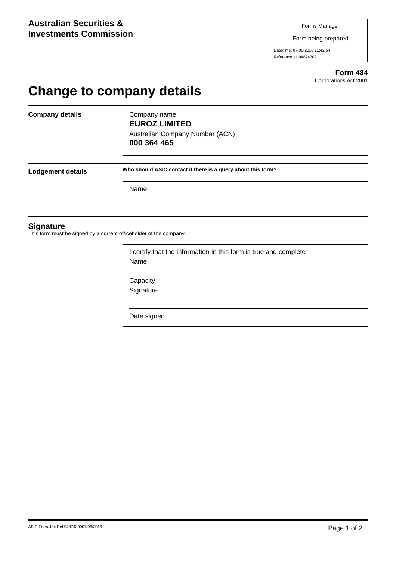Form being prepared

Date/time: 07-06-2016 11:42:54 Reference Id: 94874309

> **Form 484** Corporations Act 2001

## **Change to company details**

**Company details** Company name

**EUROZ LIMITED** Australian Company Number (ACN) **000 364 465**

**Lodgement details Who should ASIC contact if there is a query about this form?**

Name

## **Signature**

This form must be signed by a current officeholder of the company.

I certify that the information in this form is true and complete Name

**Capacity** Signature

Date signed